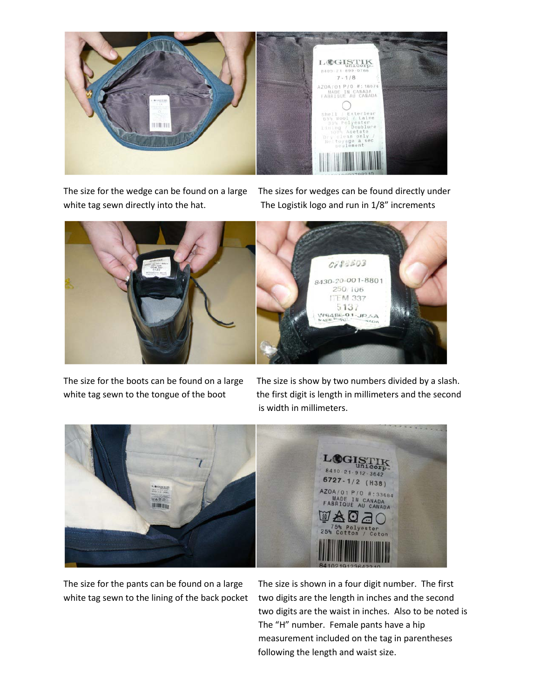

The size for the wedge can be found on a large The sizes for wedges can be found directly under white tag sewn directly into the hat. The Logistik logo and run in 1/8" increments



The size for the boots can be found on a large The size is show by two numbers divided by a slash. white tag sewn to the tongue of the boot the first digit is length in millimeters and the second is width in millimeters.



The size for the pants can be found on a large The size is shown in a four digit number. The first white tag sewn to the lining of the back pocket two digits are the length in inches and the second two digits are the waist in inches. Also to be noted is The "H" number. Female pants have a hip measurement included on the tag in parentheses following the length and waist size.